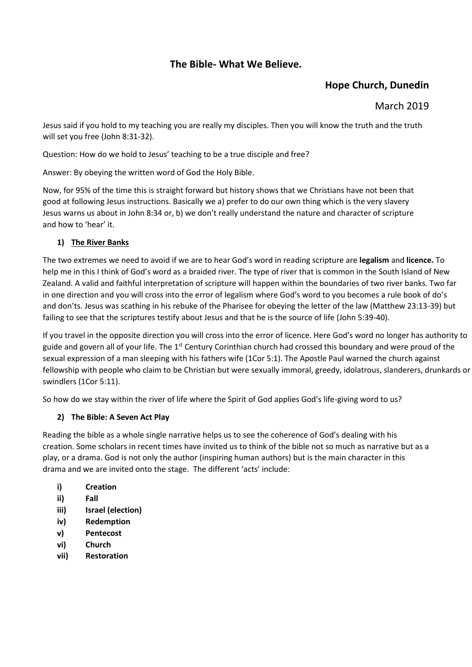# **The Bible- What We Believe.**

# **Hope Church, Dunedin**

#### March 2019

Jesus said if you hold to my teaching you are really my disciples. Then you will know the truth and the truth will set you free (John 8:31-32).

Question: How do we hold to Jesus' teaching to be a true disciple and free?

Answer: By obeying the written word of God the Holy Bible.

Now, for 95% of the time this is straight forward but history shows that we Christians have not been that good at following Jesus instructions. Basically we a) prefer to do our own thing which is the very slavery Jesus warns us about in John 8:34 or, b) we don't really understand the nature and character of scripture and how to 'hear' it.

#### **1) The River Banks**

The two extremes we need to avoid if we are to hear God's word in reading scripture are **legalism** and **licence.** To help me in this I think of God's word as a braided river. The type of river that is common in the South Island of New Zealand. A valid and faithful interpretation of scripture will happen within the boundaries of two river banks. Two far in one direction and you will cross into the error of legalism where God's word to you becomes a rule book of do's and don'ts. Jesus was scathing in his rebuke of the Pharisee for obeying the letter of the law (Matthew 23:13-39) but failing to see that the scriptures testify about Jesus and that he is the source of life (John 5:39-40).

If you travel in the opposite direction you will cross into the error of licence. Here God's word no longer has authority to guide and govern all of your life. The  $1^{st}$  Century Corinthian church had crossed this boundary and were proud of the sexual expression of a man sleeping with his fathers wife (1Cor 5:1). The Apostle Paul warned the church against fellowship with people who claim to be Christian but were sexually immoral, greedy, idolatrous, slanderers, drunkards or swindlers (1Cor 5:11).

So how do we stay within the river of life where the Spirit of God applies God's life-giving word to us?

#### **2) The Bible: A Seven Act Play**

Reading the bible as a whole single narrative helps us to see the coherence of God's dealing with his creation. Some scholars in recent times have invited us to think of the bible not so much as narrative but as a play, or a drama. God is not only the author (inspiring human authors) but is the main character in this drama and we are invited onto the stage. The different 'acts' include:

- **i) Creation**
- **ii) Fall**
- **iii) Israel (election)**
- **iv) Redemption**
- **v) Pentecost**
- **vi) Church**
- **vii) Restoration**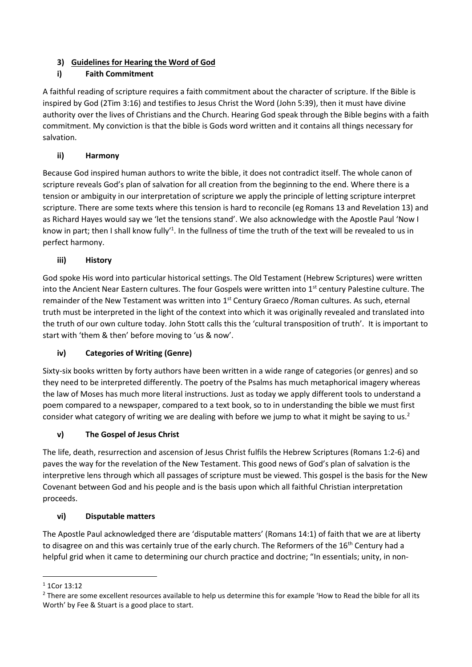#### **3) Guidelines for Hearing the Word of God**

# **i) Faith Commitment**

A faithful reading of scripture requires a faith commitment about the character of scripture. If the Bible is inspired by God (2Tim 3:16) and testifies to Jesus Christ the Word (John 5:39), then it must have divine authority over the lives of Christians and the Church. Hearing God speak through the Bible begins with a faith commitment. My conviction is that the bible is Gods word written and it contains all things necessary for salvation.

# **ii) Harmony**

Because God inspired human authors to write the bible, it does not contradict itself. The whole canon of scripture reveals God's plan of salvation for all creation from the beginning to the end. Where there is a tension or ambiguity in our interpretation of scripture we apply the principle of letting scripture interpret scripture. There are some texts where this tension is hard to reconcile (eg Romans 13 and Revelation 13) and as Richard Hayes would say we 'let the tensions stand'. We also acknowledge with the Apostle Paul 'Now I know in part; then I shall know fully<sup>1</sup>. In the fullness of time the truth of the text will be revealed to us in perfect harmony.

## **iii) History**

God spoke His word into particular historical settings. The Old Testament (Hebrew Scriptures) were written into the Ancient Near Eastern cultures. The four Gospels were written into 1<sup>st</sup> century Palestine culture. The remainder of the New Testament was written into 1<sup>st</sup> Century Graeco / Roman cultures. As such, eternal truth must be interpreted in the light of the context into which it was originally revealed and translated into the truth of our own culture today. John Stott calls this the 'cultural transposition of truth'. It is important to start with 'them & then' before moving to 'us & now'.

## **iv) Categories of Writing (Genre)**

Sixty-six books written by forty authors have been written in a wide range of categories (or genres) and so they need to be interpreted differently. The poetry of the Psalms has much metaphorical imagery whereas the law of Moses has much more literal instructions. Just as today we apply different tools to understand a poem compared to a newspaper, compared to a text book, so to in understanding the bible we must first consider what category of writing we are dealing with before we jump to what it might be saying to us.<sup>2</sup>

## **v) The Gospel of Jesus Christ**

The life, death, resurrection and ascension of Jesus Christ fulfils the Hebrew Scriptures (Romans 1:2-6) and paves the way for the revelation of the New Testament. This good news of God's plan of salvation is the interpretive lens through which all passages of scripture must be viewed. This gospel is the basis for the New Covenant between God and his people and is the basis upon which all faithful Christian interpretation proceeds.

## **vi) Disputable matters**

The Apostle Paul acknowledged there are 'disputable matters' (Romans 14:1) of faith that we are at liberty to disagree on and this was certainly true of the early church. The Reformers of the 16<sup>th</sup> Century had a helpful grid when it came to determining our church practice and doctrine; "In essentials; unity, in non-

**<sup>.</sup>** <sup>1</sup> 1Cor 13:12

<sup>&</sup>lt;sup>2</sup> There are some excellent resources available to help us determine this for example 'How to Read the bible for all its Worth' by Fee & Stuart is a good place to start.